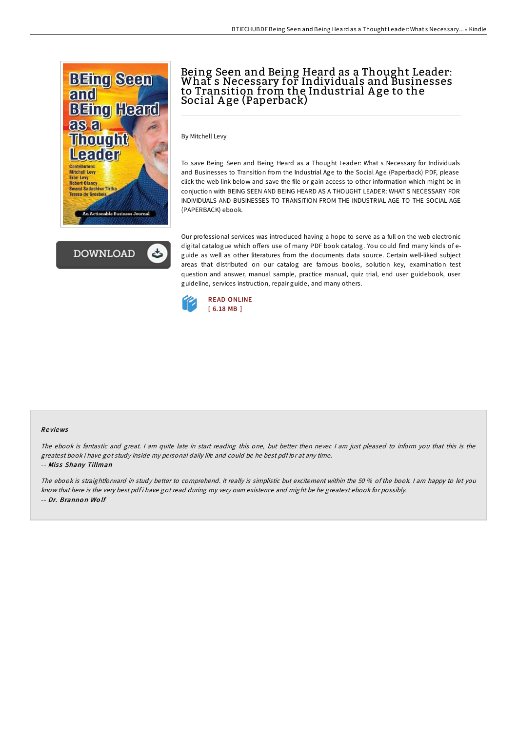



# Being Seen and Being Heard as a Thought Leader: What s Necessary for Individuals and Businesses to Transition from the Industrial A ge to the Social A ge (Paperback)

By Mitchell Levy

To save Being Seen and Being Heard as a Thought Leader: What s Necessary for Individuals and Businesses to Transition from the Industrial Age to the Social Age (Paperback) PDF, please click the web link below and save the file or gain access to other information which might be in conjuction with BEING SEEN AND BEING HEARD AS A THOUGHT LEADER: WHAT S NECESSARY FOR INDIVIDUALS AND BUSINESSES TO TRANSITION FROM THE INDUSTRIAL AGE TO THE SOCIAL AGE (PAPERBACK) ebook.

Our professional services was introduced having a hope to serve as a full on the web electronic digital catalogue which offers use of many PDF book catalog. You could find many kinds of eguide as well as other literatures from the documents data source. Certain well-liked subject areas that distributed on our catalog are famous books, solution key, examination test question and answer, manual sample, practice manual, quiz trial, end user guidebook, user guideline, services instruction, repair guide, and many others.



#### Re views

The ebook is fantastic and great. <sup>I</sup> am quite late in start reading this one, but better then never. <sup>I</sup> am just pleased to inform you that this is the greatest book i have got study inside my personal daily life and could be he best pdf for at any time. -- Miss Shany Tillman

The ebook is straightforward in study better to comprehend. It really is simplistic but excitement within the 50 % of the book. <sup>I</sup> am happy to let you know that here is the very best pdf i have got read during my very own existence and might be he greatest ebook for possibly. -- Dr. Branno <sup>n</sup> Wo lf